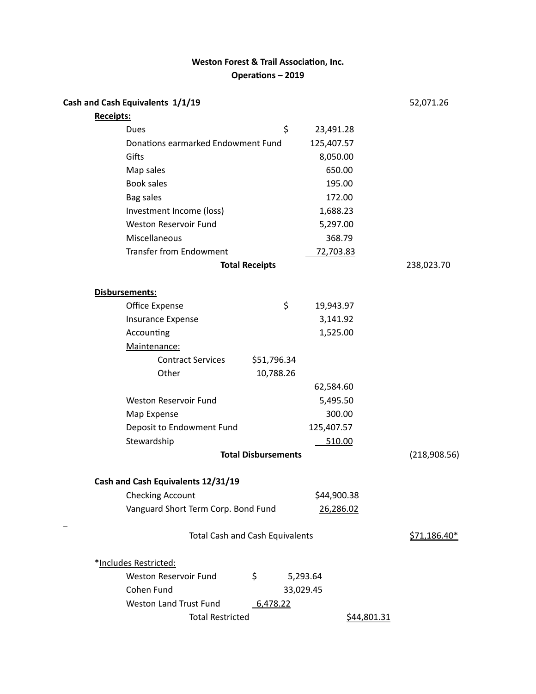# **Weston Forest & Trail Association, Inc.** Operations – 2019

| Cash and Cash Equivalents 1/1/19          |                 | 52,071.26    |
|-------------------------------------------|-----------------|--------------|
| <b>Receipts:</b>                          |                 |              |
| Dues                                      | \$<br>23,491.28 |              |
| Donations earmarked Endowment Fund        | 125,407.57      |              |
| Gifts                                     | 8,050.00        |              |
| Map sales                                 | 650.00          |              |
| <b>Book sales</b>                         | 195.00          |              |
| <b>Bag sales</b>                          | 172.00          |              |
| Investment Income (loss)                  | 1,688.23        |              |
| <b>Weston Reservoir Fund</b>              | 5,297.00        |              |
| Miscellaneous                             | 368.79          |              |
| <b>Transfer from Endowment</b>            | 72,703.83       |              |
| <b>Total Receipts</b>                     |                 | 238,023.70   |
| <b>Disbursements:</b>                     |                 |              |
| Office Expense                            | \$<br>19,943.97 |              |
| Insurance Expense                         | 3,141.92        |              |
| Accounting                                | 1,525.00        |              |
| Maintenance:                              |                 |              |
| <b>Contract Services</b><br>\$51,796.34   |                 |              |
| Other<br>10,788.26                        |                 |              |
|                                           | 62,584.60       |              |
| <b>Weston Reservoir Fund</b>              | 5,495.50        |              |
| Map Expense                               | 300.00          |              |
| Deposit to Endowment Fund                 | 125,407.57      |              |
| Stewardship                               | 510.00          |              |
| <b>Total Disbursements</b>                |                 | (218,908.56) |
| Cash and Cash Equivalents 12/31/19        |                 |              |
| <b>Checking Account</b>                   | \$44,900.38     |              |
| Vanguard Short Term Corp. Bond Fund       | 26,286.02       |              |
| <b>Total Cash and Cash Equivalents</b>    |                 | \$71,186.40* |
| *Includes Restricted:                     |                 |              |
| \$<br>Weston Reservoir Fund               | 5,293.64        |              |
| Cohen Fund                                | 33,029.45       |              |
| <b>Weston Land Trust Fund</b><br>6,478.22 |                 |              |
| <b>Total Restricted</b>                   | \$44,801.31     |              |